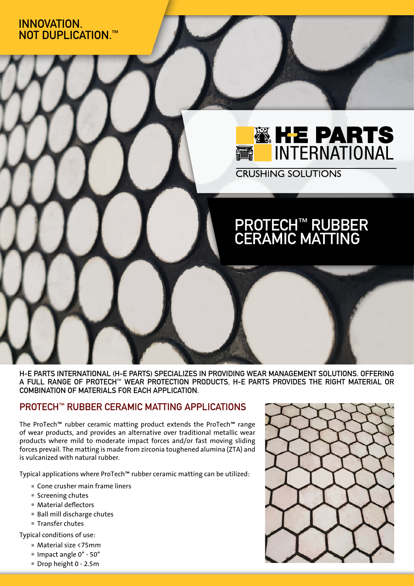### INNOVATION. NOT DUPLICATION.<sup>™</sup>



**CRUSHING SOLUTIONS** 

# PROTECH™ RUBBER CERAMIC MATTING

H-E PARTS INTERNATIONAL (H-E PARTS) SPECIALIZES IN PROVIDING WEAR MANAGEMENT SOLUTIONS. OFFERING A FULL RANGE OF PROTECH™ WEAR PROTECTION PRODUCTS, H-E PARTS PROVIDES THE RIGHT MATERIAL OR COMBINATION OF MATERIALS FOR EACH APPLICATION.

### PROTECH™ RUBBER CERAMIC MATTING APPLICATIONS

The ProTech™ rubber ceramic matting product extends the ProTech™ range of wear products, and provides an alternative over traditional metallic wear products where mild to moderate impact forces and/or fast moving sliding forces prevail. The matting is made from zirconia toughened alumina (ZTA) and is vulcanized with natural rubber.

Typical applications where ProTech™ rubber ceramic matting can be utilized:

- Cone crusher main frame liners
- $S$ creening chutes
- Material deflectors
- Ball mill discharge chutes
- Transfer chutes

Typical conditions of use:

- Material size <75mm
- Impact angle 0° 50°
- Drop height 0 2.5m